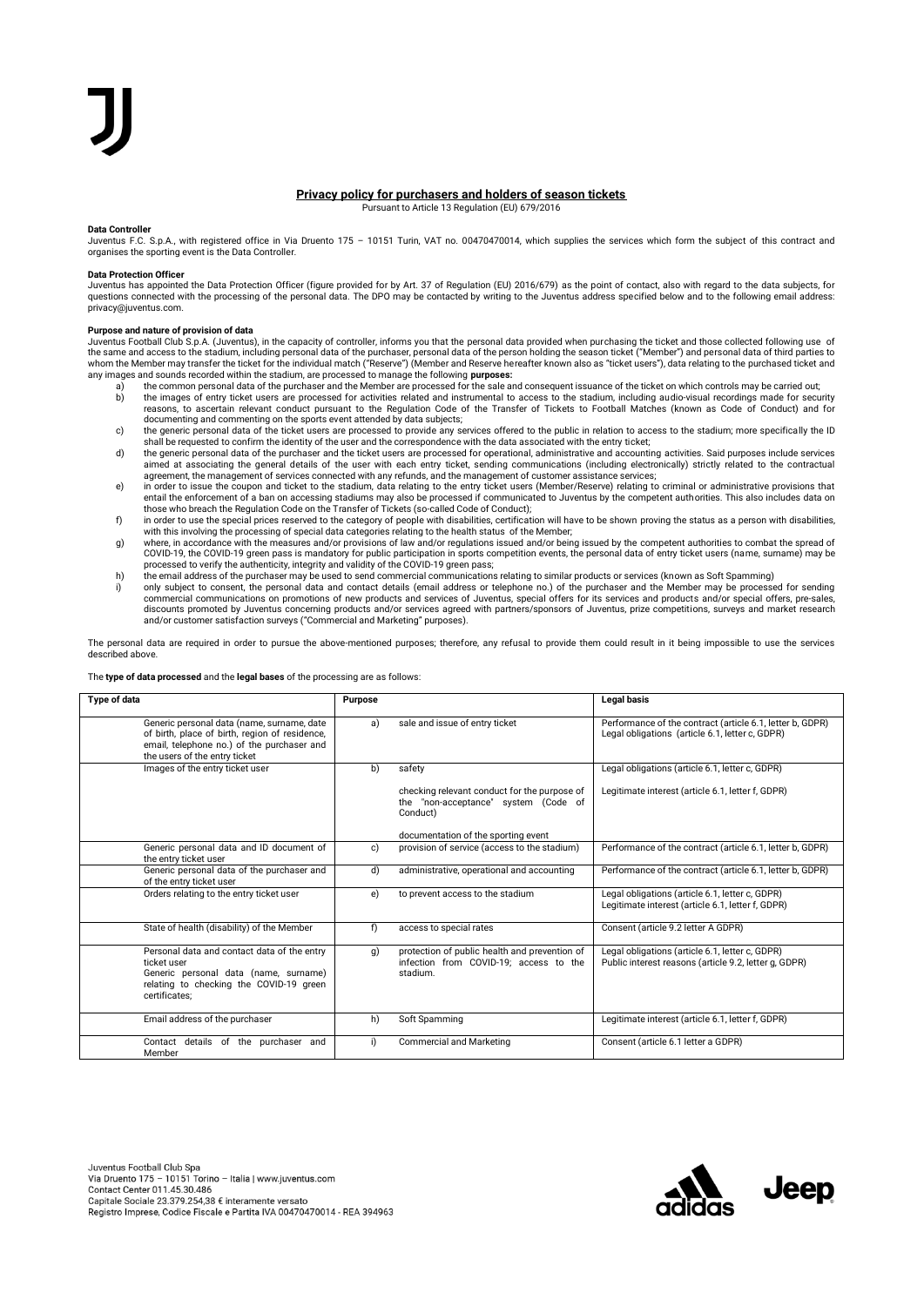# **Privacy policy for purchasers and holders of season tickets** Pursuant to Article 13 Regulation (EU) 679/2016

## **Data Controller**

Juventus F.C. S.p.A., with registered office in Via Druento 175 – 10151 Turin, VAT no. 00470470014, which supplies the services which form the subject of this contract and organises the sporting event is the Data Controller.

## **Data Protection Officer**

Juventus has appointed the Data Protection Officer (figure provided for by Art. 37 of Regulation (EU) 2016/679) as the point of contact, also with regard to the data subjects, for<br>questions connected with the processing of privacy@juventus.com.

# **Purpose and nature of provision of data**

Juventus Football Club S.p.A. (Juventus), in the capacity of controller, informs you that the personal data provided when purchasing the ticket and those collected following use of<br>the same and access to the stadium, incl whom the Member may transfer the ticket for the individual match ("Reserve") (Member and Reserve hereafter known also as "ticket users"), data relating to the purchased ticket and<br>any images and sounds recorded within the

- a) the common personal data of the purchaser and the Member are processed for the sale and consequent issuance of the ticket on which controls may be carried out;
- b) the images of entry ticket users are processed for activities related and instrumental to access to the stadium, including audio-visual recordings made for security<br>reasons, to ascertain relevant conduct pursuant to the documenting and commenting on the sports event attended by data subjects;<br>c) the generic personal data of the ticket users are processed to provide any services offered to the public in relation to access to the stadium; m
- shall be requested to confirm the identity of the user and the correspondence with the data associated with the entry ticket;
- d) the generic personal data of the purchaser and the ticket users are processed for operational, administrative and accounting activities. Said purposes include services aimed at associating the general details of the user with each entry ticket, sending communications (including electronically) strictly related to the contractual agreement, the management of services connected with any refunds, and the management of customer assistance services;
- e) in order to issue the coupon and ticket to the stadium, data relating to the entry ticket users (Member/Reserve) relating to criminal or administrative provisions that entail the enforcement of a ban on accessing stadiums may also be processed if communicated to Juventus by the competent authorities. This also includes data on<br>those who breach the Regulation Code on the Transfer of Ticke
- f) in order to use the special prices reserved to the category of people with disabilities, certification will have to be shown proving the status as a person with disabilities, with this involving the processing of specia
- g) where, in accordance with the measures and/or provisions of law and/or regulations issued and/or being issued by the competent authorities to combat the spread of<br>COVID-19, the COVID-19 green pass is mandatory for publi
- processed to verify the authenticity, integrity and validity of the COVID-19 green pass;<br>(h) the email address of the purchaser may be used to send commercial communications relating to similar products or services (known
- i) only subject to consent, the personal data and contact details (email address or telephone no.) of the purchaser and the Member may be processed for sending<br>,commercial communications on promotions of new products and s discounts promoted by Juventus concerning products and/or services agreed with partners/sponsors of Juventus, prize competitions, surveys and market research and/or customer satisfaction surveys ("Commercial and Marketing" purposes).

The personal data are required in order to pursue the above-mentioned purposes; therefore, any refusal to provide them could result in it being impossible to use the services described above.

## The **type of data processed** and the **legal bases** of the processing are as follows:

| Type of data                                                                                                                                                                | Purpose |                                                                                                     | <b>Legal basis</b>                                                                                           |
|-----------------------------------------------------------------------------------------------------------------------------------------------------------------------------|---------|-----------------------------------------------------------------------------------------------------|--------------------------------------------------------------------------------------------------------------|
| Generic personal data (name, surname, date<br>of birth, place of birth, region of residence,<br>email, telephone no.) of the purchaser and<br>the users of the entry ticket | a)      | sale and issue of entry ticket                                                                      | Performance of the contract (article 6.1, letter b, GDPR)<br>Legal obligations (article 6.1, letter c, GDPR) |
| Images of the entry ticket user                                                                                                                                             | b)      | safety                                                                                              | Legal obligations (article 6.1, letter c, GDPR)                                                              |
|                                                                                                                                                                             |         | checking relevant conduct for the purpose of<br>the "non-acceptance" system (Code of<br>Conduct)    | Legitimate interest (article 6.1, letter f, GDPR)                                                            |
|                                                                                                                                                                             |         | documentation of the sporting event                                                                 |                                                                                                              |
| Generic personal data and ID document of<br>the entry ticket user                                                                                                           | c)      | provision of service (access to the stadium)                                                        | Performance of the contract (article 6.1, letter b, GDPR)                                                    |
| Generic personal data of the purchaser and<br>of the entry ticket user                                                                                                      | d)      | administrative, operational and accounting                                                          | Performance of the contract (article 6.1, letter b, GDPR)                                                    |
| Orders relating to the entry ticket user                                                                                                                                    | e)      | to prevent access to the stadium                                                                    | Legal obligations (article 6.1, letter c, GDPR)<br>Legitimate interest (article 6.1, letter f, GDPR)         |
| State of health (disability) of the Member                                                                                                                                  | f)      | access to special rates                                                                             | Consent (article 9.2 letter A GDPR)                                                                          |
| Personal data and contact data of the entry<br>ticket user<br>Generic personal data (name, surname)<br>relating to checking the COVID-19 green<br>certificates:             | q)      | protection of public health and prevention of<br>infection from COVID-19: access to the<br>stadium. | Legal obligations (article 6.1, letter c, GDPR)<br>Public interest reasons (article 9.2, letter q, GDPR)     |
| Email address of the purchaser                                                                                                                                              | h)      | Soft Spamming                                                                                       | Legitimate interest (article 6.1, letter f, GDPR)                                                            |
| Contact details of the purchaser<br>and<br>Member                                                                                                                           | i)      | <b>Commercial and Marketing</b>                                                                     | Consent (article 6.1 letter a GDPR)                                                                          |